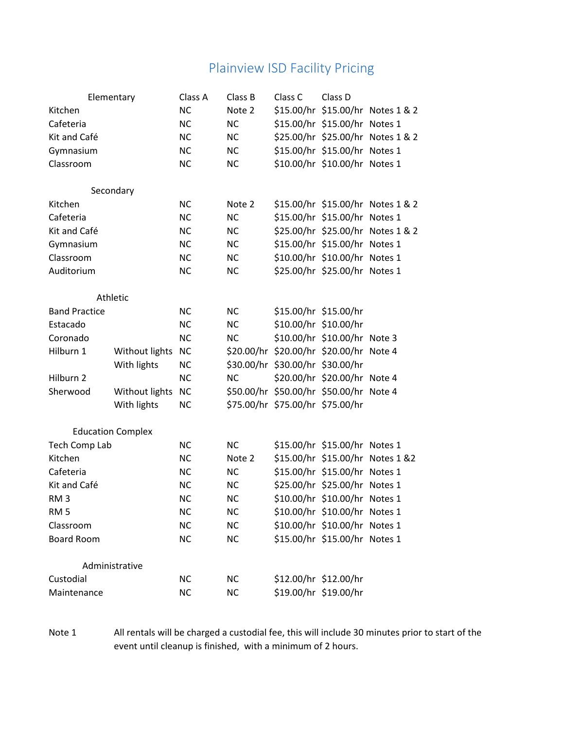## Plainview ISD Facility Pricing

| <b>NC</b><br>Note 2<br>\$15.00/hr \$15.00/hr Notes 1 & 2<br>Kitchen<br>Cafeteria<br><b>NC</b><br>\$15.00/hr \$15.00/hr Notes 1<br><b>NC</b><br>\$25.00/hr \$25.00/hr Notes 1 & 2<br>Kit and Café<br><b>NC</b><br><b>NC</b><br>\$15.00/hr \$15.00/hr Notes 1<br><b>NC</b><br>Gymnasium<br><b>NC</b><br>\$10.00/hr \$10.00/hr Notes 1<br>Classroom<br><b>NC</b><br><b>NC</b><br>Secondary<br>\$15.00/hr \$15.00/hr Notes 1 & 2<br>Kitchen<br><b>NC</b><br>Note 2<br>\$15.00/hr \$15.00/hr Notes 1<br><b>NC</b><br>Cafeteria<br><b>NC</b><br>\$25.00/hr \$25.00/hr Notes 1 & 2<br>Kit and Café<br><b>NC</b><br><b>NC</b><br>\$15.00/hr \$15.00/hr Notes 1<br><b>NC</b><br><b>NC</b><br>Gymnasium<br>\$10.00/hr \$10.00/hr Notes 1<br>Classroom<br><b>NC</b><br><b>NC</b><br>\$25.00/hr \$25.00/hr Notes 1<br>Auditorium<br><b>NC</b><br><b>NC</b><br>Athletic<br><b>NC</b><br><b>NC</b><br>\$15.00/hr \$15.00/hr<br><b>Band Practice</b><br>\$10.00/hr \$10.00/hr<br>Estacado<br><b>NC</b><br><b>NC</b> |
|------------------------------------------------------------------------------------------------------------------------------------------------------------------------------------------------------------------------------------------------------------------------------------------------------------------------------------------------------------------------------------------------------------------------------------------------------------------------------------------------------------------------------------------------------------------------------------------------------------------------------------------------------------------------------------------------------------------------------------------------------------------------------------------------------------------------------------------------------------------------------------------------------------------------------------------------------------------------------------------------------|
|                                                                                                                                                                                                                                                                                                                                                                                                                                                                                                                                                                                                                                                                                                                                                                                                                                                                                                                                                                                                      |
|                                                                                                                                                                                                                                                                                                                                                                                                                                                                                                                                                                                                                                                                                                                                                                                                                                                                                                                                                                                                      |
|                                                                                                                                                                                                                                                                                                                                                                                                                                                                                                                                                                                                                                                                                                                                                                                                                                                                                                                                                                                                      |
|                                                                                                                                                                                                                                                                                                                                                                                                                                                                                                                                                                                                                                                                                                                                                                                                                                                                                                                                                                                                      |
|                                                                                                                                                                                                                                                                                                                                                                                                                                                                                                                                                                                                                                                                                                                                                                                                                                                                                                                                                                                                      |
|                                                                                                                                                                                                                                                                                                                                                                                                                                                                                                                                                                                                                                                                                                                                                                                                                                                                                                                                                                                                      |
|                                                                                                                                                                                                                                                                                                                                                                                                                                                                                                                                                                                                                                                                                                                                                                                                                                                                                                                                                                                                      |
|                                                                                                                                                                                                                                                                                                                                                                                                                                                                                                                                                                                                                                                                                                                                                                                                                                                                                                                                                                                                      |
|                                                                                                                                                                                                                                                                                                                                                                                                                                                                                                                                                                                                                                                                                                                                                                                                                                                                                                                                                                                                      |
|                                                                                                                                                                                                                                                                                                                                                                                                                                                                                                                                                                                                                                                                                                                                                                                                                                                                                                                                                                                                      |
|                                                                                                                                                                                                                                                                                                                                                                                                                                                                                                                                                                                                                                                                                                                                                                                                                                                                                                                                                                                                      |
|                                                                                                                                                                                                                                                                                                                                                                                                                                                                                                                                                                                                                                                                                                                                                                                                                                                                                                                                                                                                      |
|                                                                                                                                                                                                                                                                                                                                                                                                                                                                                                                                                                                                                                                                                                                                                                                                                                                                                                                                                                                                      |
|                                                                                                                                                                                                                                                                                                                                                                                                                                                                                                                                                                                                                                                                                                                                                                                                                                                                                                                                                                                                      |
|                                                                                                                                                                                                                                                                                                                                                                                                                                                                                                                                                                                                                                                                                                                                                                                                                                                                                                                                                                                                      |
|                                                                                                                                                                                                                                                                                                                                                                                                                                                                                                                                                                                                                                                                                                                                                                                                                                                                                                                                                                                                      |
|                                                                                                                                                                                                                                                                                                                                                                                                                                                                                                                                                                                                                                                                                                                                                                                                                                                                                                                                                                                                      |
| <b>NC</b><br>\$10.00/hr \$10.00/hr Note 3<br>Coronado<br><b>NC</b>                                                                                                                                                                                                                                                                                                                                                                                                                                                                                                                                                                                                                                                                                                                                                                                                                                                                                                                                   |
| \$20.00/hr \$20.00/hr \$20.00/hr Note 4<br>Hilburn 1<br>Without lights<br><b>NC</b>                                                                                                                                                                                                                                                                                                                                                                                                                                                                                                                                                                                                                                                                                                                                                                                                                                                                                                                  |
| \$30.00/hr \$30.00/hr \$30.00/hr<br>With lights<br><b>NC</b>                                                                                                                                                                                                                                                                                                                                                                                                                                                                                                                                                                                                                                                                                                                                                                                                                                                                                                                                         |
| \$20.00/hr \$20.00/hr Note 4<br>Hilburn 2<br><b>NC</b><br><b>NC</b>                                                                                                                                                                                                                                                                                                                                                                                                                                                                                                                                                                                                                                                                                                                                                                                                                                                                                                                                  |
| \$50.00/hr \$50.00/hr \$50.00/hr Note 4<br>Sherwood<br>Without lights<br><b>NC</b>                                                                                                                                                                                                                                                                                                                                                                                                                                                                                                                                                                                                                                                                                                                                                                                                                                                                                                                   |
| \$75.00/hr \$75.00/hr \$75.00/hr<br>With lights<br><b>NC</b>                                                                                                                                                                                                                                                                                                                                                                                                                                                                                                                                                                                                                                                                                                                                                                                                                                                                                                                                         |
| <b>Education Complex</b>                                                                                                                                                                                                                                                                                                                                                                                                                                                                                                                                                                                                                                                                                                                                                                                                                                                                                                                                                                             |
| <b>NC</b><br>\$15.00/hr \$15.00/hr Notes 1<br><b>Tech Comp Lab</b><br><b>NC</b>                                                                                                                                                                                                                                                                                                                                                                                                                                                                                                                                                                                                                                                                                                                                                                                                                                                                                                                      |
| Kitchen<br><b>NC</b><br>Note 2<br>\$15.00/hr \$15.00/hr Notes 1 &2                                                                                                                                                                                                                                                                                                                                                                                                                                                                                                                                                                                                                                                                                                                                                                                                                                                                                                                                   |
| \$15.00/hr \$15.00/hr Notes 1<br><b>NC</b><br>Cafeteria<br><b>NC</b>                                                                                                                                                                                                                                                                                                                                                                                                                                                                                                                                                                                                                                                                                                                                                                                                                                                                                                                                 |
| \$25.00/hr \$25.00/hr Notes 1<br><b>NC</b>                                                                                                                                                                                                                                                                                                                                                                                                                                                                                                                                                                                                                                                                                                                                                                                                                                                                                                                                                           |
| Kit and Café<br><b>NC</b>                                                                                                                                                                                                                                                                                                                                                                                                                                                                                                                                                                                                                                                                                                                                                                                                                                                                                                                                                                            |
| \$10.00/hr \$10.00/hr Notes 1<br><b>NC</b><br>RM <sub>3</sub><br><b>NC</b>                                                                                                                                                                                                                                                                                                                                                                                                                                                                                                                                                                                                                                                                                                                                                                                                                                                                                                                           |
| \$10.00/hr \$10.00/hr Notes 1<br><b>RM 5</b><br><b>NC</b><br>NС                                                                                                                                                                                                                                                                                                                                                                                                                                                                                                                                                                                                                                                                                                                                                                                                                                                                                                                                      |
| \$10.00/hr \$10.00/hr Notes 1<br><b>NC</b><br>Classroom<br><b>NC</b>                                                                                                                                                                                                                                                                                                                                                                                                                                                                                                                                                                                                                                                                                                                                                                                                                                                                                                                                 |
| \$15.00/hr \$15.00/hr Notes 1<br><b>Board Room</b><br><b>NC</b><br><b>NC</b>                                                                                                                                                                                                                                                                                                                                                                                                                                                                                                                                                                                                                                                                                                                                                                                                                                                                                                                         |
| Administrative                                                                                                                                                                                                                                                                                                                                                                                                                                                                                                                                                                                                                                                                                                                                                                                                                                                                                                                                                                                       |
| \$12.00/hr \$12.00/hr<br>Custodial<br><b>NC</b><br><b>NC</b>                                                                                                                                                                                                                                                                                                                                                                                                                                                                                                                                                                                                                                                                                                                                                                                                                                                                                                                                         |
| \$19.00/hr \$19.00/hr<br><b>NC</b><br><b>NC</b><br>Maintenance                                                                                                                                                                                                                                                                                                                                                                                                                                                                                                                                                                                                                                                                                                                                                                                                                                                                                                                                       |

Note 1 All rentals will be charged a custodial fee, this will include 30 minutes prior to start of the event until cleanup is finished, with a minimum of 2 hours.